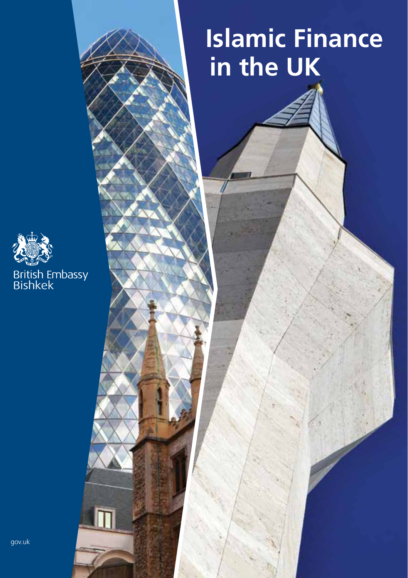### **Islamic Finance in the UK**

Islamic Finance in the UK 1

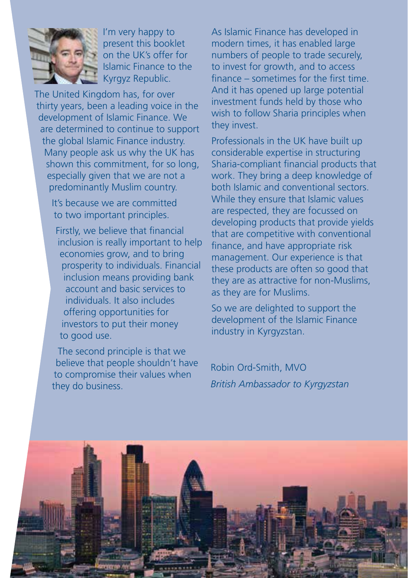

I'm very happy to present this booklet on the UK's offer for Islamic Finance to the Kyrgyz Republic.

The United Kingdom has, for over thirty years, been a leading voice in the development of Islamic Finance. We are determined to continue to support the global Islamic Finance industry. Many people ask us why the UK has shown this commitment, for so long, especially given that we are not a predominantly Muslim country.

> It's because we are committed to two important principles.

Firstly, we believe that financial inclusion is really important to help economies grow, and to bring prosperity to individuals. Financial inclusion means providing bank account and basic services to individuals. It also includes offering opportunities for investors to put their money to good use.

The second principle is that we believe that people shouldn't have to compromise their values when they do business.

As Islamic Finance has developed in modern times, it has enabled large numbers of people to trade securely, to invest for growth, and to access finance – sometimes for the first time. And it has opened up large potential investment funds held by those who wish to follow Sharia principles when they invest.

Professionals in the UK have built up considerable expertise in structuring Sharia-compliant financial products that work. They bring a deep knowledge of both Islamic and conventional sectors. While they ensure that Islamic values are respected, they are focussed on developing products that provide yields that are competitive with conventional finance, and have appropriate risk management. Our experience is that these products are often so good that they are as attractive for non-Muslims, as they are for Muslims.

So we are delighted to support the development of the Islamic Finance industry in Kyrgyzstan.

Robin Ord-Smith, MVO *British Ambassador to Kyrgyzstan*

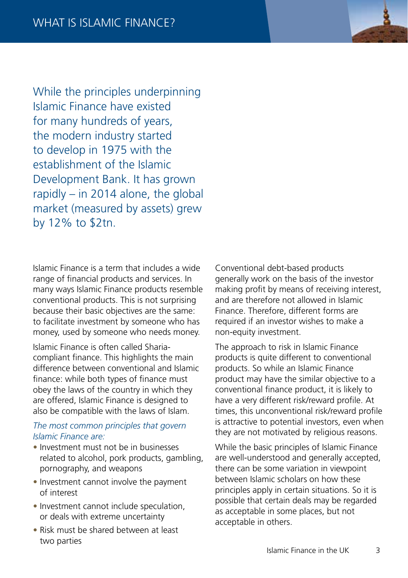While the principles underpinning Islamic Finance have existed for many hundreds of years, the modern industry started to develop in 1975 with the establishment of the Islamic Development Bank. It has grown rapidly  $-$  in 2014 alone, the global market (measured by assets) grew by 12% to \$2tn.

Islamic Finance is a term that includes a wide range of financial products and services. In many ways Islamic Finance products resemble conventional products. This is not surprising because their basic objectives are the same: to facilitate investment by someone who has money, used by someone who needs money.

Islamic Finance is often called Shariacompliant finance. This highlights the main difference between conventional and Islamic finance: while both types of finance must obey the laws of the country in which they are offered, Islamic Finance is designed to also be compatible with the laws of Islam.

#### *The most common principles that govern Islamic Finance are:*

- Investment must not be in businesses related to alcohol, pork products, gambling, pornography, and weapons
- Investment cannot involve the payment of interest
- Investment cannot include speculation. or deals with extreme uncertainty
- Risk must be shared between at least two parties

Conventional debt-based products generally work on the basis of the investor making profit by means of receiving interest, and are therefore not allowed in Islamic Finance. Therefore, different forms are required if an investor wishes to make a non-equity investment.

The approach to risk in Islamic Finance products is quite different to conventional products. So while an Islamic Finance product may have the similar objective to a conventional finance product, it is likely to have a very different risk/reward profile. At times, this unconventional risk/reward profile is attractive to potential investors, even when they are not motivated by religious reasons.

While the basic principles of Islamic Finance are well-understood and generally accepted, there can be some variation in viewpoint between Islamic scholars on how these principles apply in certain situations. So it is possible that certain deals may be regarded as acceptable in some places, but not acceptable in others.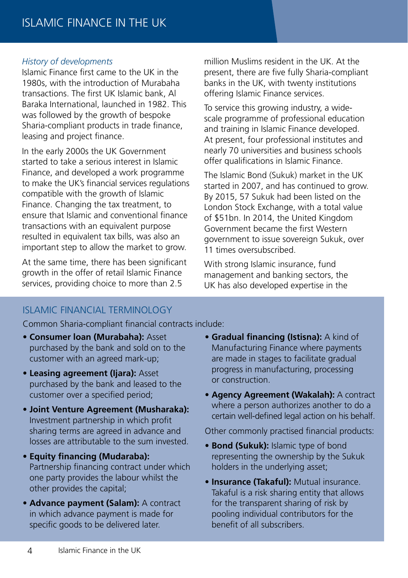#### *History of developments*

Islamic Finance first came to the UK in the 1980s, with the introduction of Murabaha transactions. The first UK Islamic bank, Al Baraka International, launched in 1982. This was followed by the growth of bespoke Sharia-compliant products in trade finance, leasing and project finance.

In the early 2000s the UK Government started to take a serious interest in Islamic Finance, and developed a work programme to make the UK's financial services regulations compatible with the growth of Islamic Finance. Changing the tax treatment, to ensure that Islamic and conventional finance transactions with an equivalent purpose resulted in equivalent tax bills, was also an important step to allow the market to grow.

At the same time, there has been significant growth in the offer of retail Islamic Finance services, providing choice to more than 2.5

million Muslims resident in the UK. At the present, there are five fully Sharia-compliant banks in the UK, with twenty institutions offering Islamic Finance services.

To service this growing industry, a widescale programme of professional education and training in Islamic Finance developed. At present, four professional institutes and nearly 70 universities and business schools offer qualifications in Islamic Finance.

The Islamic Bond (Sukuk) market in the UK started in 2007, and has continued to grow. By 2015, 57 Sukuk had been listed on the London Stock Exchange, with a total value of \$51bn. In 2014, the United Kingdom Government became the first Western government to issue sovereign Sukuk, over 11 times oversubscribed.

With strong Islamic insurance, fund management and banking sectors, the UK has also developed expertise in the

#### ISLAMIC FINANCIAL TERMINOLOGY

Common Sharia-compliant financial contracts include:

- **Consumer loan (Murabaha):** Asset purchased by the bank and sold on to the customer with an agreed mark-up;
- **Leasing agreement (Ijara):** Asset purchased by the bank and leased to the customer over a specified period;
- **Joint Venture Agreement (Musharaka):** Investment partnership in which profit sharing terms are agreed in advance and losses are attributable to the sum invested.
- **Equity financing (Mudaraba):** Partnership financing contract under which one party provides the labour whilst the other provides the capital;
- **Advance payment (Salam):** A contract in which advance payment is made for specific goods to be delivered later.
- **Gradual financing (Istisna):** A kind of Manufacturing Finance where payments are made in stages to facilitate gradual progress in manufacturing, processing or construction.
- **Agency Agreement (Wakalah):** A contract where a person authorizes another to do a certain well-defined legal action on his behalf.

Other commonly practised financial products:

- **Bond (Sukuk):** Islamic type of bond representing the ownership by the Sukuk holders in the underlying asset;
- **Insurance (Takaful):** Mutual insurance. Takaful is a risk sharing entity that allows for the transparent sharing of risk by pooling individual contributors for the benefit of all subscribers.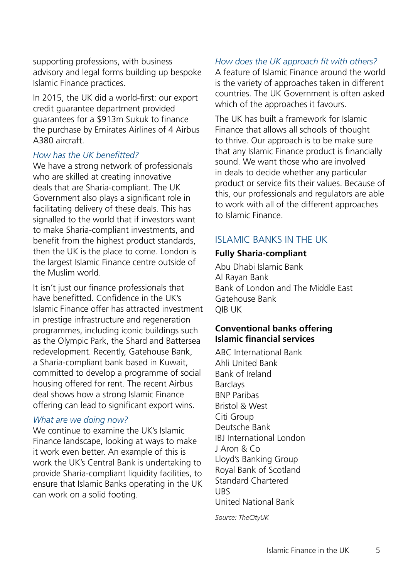supporting professions, with business advisory and legal forms building up bespoke Islamic Finance practices.

In 2015, the UK did a world-first: our export credit guarantee department provided guarantees for a \$913m Sukuk to finance the purchase by Emirates Airlines of 4 Airbus A380 aircraft.

#### *How has the UK benefitted?*

We have a strong network of professionals who are skilled at creating innovative deals that are Sharia-compliant. The UK Government also plays a significant role in facilitating delivery of these deals. This has signalled to the world that if investors want to make Sharia-compliant investments, and benefit from the highest product standards, then the UK is the place to come. London is the largest Islamic Finance centre outside of the Muslim world.

It isn't just our finance professionals that have benefitted. Confidence in the UK's Islamic Finance offer has attracted investment in prestige infrastructure and regeneration programmes, including iconic buildings such as the Olympic Park, the Shard and Battersea redevelopment. Recently, Gatehouse Bank, a Sharia-compliant bank based in Kuwait, committed to develop a programme of social housing offered for rent. The recent Airbus deal shows how a strong Islamic Finance offering can lead to significant export wins.

#### *What are we doing now?*

We continue to examine the UK's Islamic Finance landscape, looking at ways to make it work even better. An example of this is work the UK's Central Bank is undertaking to provide Sharia-compliant liquidity facilities, to ensure that Islamic Banks operating in the UK can work on a solid footing.

#### *How does the UK approach fit with others?*

A feature of Islamic Finance around the world is the variety of approaches taken in different countries. The UK Government is often asked which of the approaches it favours.

The UK has built a framework for Islamic Finance that allows all schools of thought to thrive. Our approach is to be make sure that any Islamic Finance product is financially sound. We want those who are involved in deals to decide whether any particular product or service fits their values. Because of this, our professionals and regulators are able to work with all of the different approaches to Islamic Finance.

#### ISLAMIC BANKS IN THE UK

#### **Fully Sharia-compliant**

Abu Dhabi Islamic Bank Al Rayan Bank Bank of London and The Middle East Gatehouse Bank QIB UK

#### **Conventional banks offering Islamic financial services**

ABC International Bank Ahli United Bank Bank of Ireland Barclays BNP Paribas Bristol & West Citi Group Deutsche Bank IBJ International London J Aron & Co Lloyd's Banking Group Royal Bank of Scotland Standard Chartered UBS United National Bank

*Source: TheCityUK*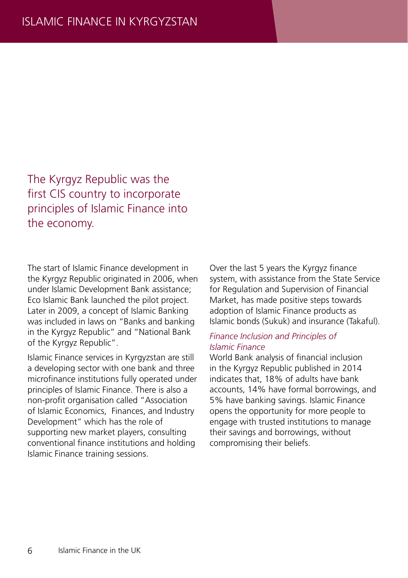The Kyrgyz Republic was the first CIS country to incorporate principles of Islamic Finance into the economy.

The start of Islamic Finance development in the Kyrgyz Republic originated in 2006, when under Islamic Development Bank assistance; Eco Islamic Bank launched the pilot project. Later in 2009, a concept of Islamic Banking was included in laws on "Banks and banking in the Kyrgyz Republic" and "National Bank of the Kyrgyz Republic".

Islamic Finance services in Kyrgyzstan are still a developing sector with one bank and three microfinance institutions fully operated under principles of Islamic Finance. There is also a non-profit organisation called "Association of Islamic Economics, Finances, and Industry Development" which has the role of supporting new market players, consulting conventional finance institutions and holding Islamic Finance training sessions.

Over the last 5 years the Kyrgyz finance system, with assistance from the State Service for Regulation and Supervision of Financial Market, has made positive steps towards adoption of Islamic Finance products as Islamic bonds (Sukuk) and insurance (Takaful).

#### *Finance Inclusion and Principles of Islamic Finance*

World Bank analysis of financial inclusion in the Kyrgyz Republic published in 2014 indicates that, 18% of adults have bank accounts, 14% have formal borrowings, and 5% have banking savings. Islamic Finance opens the opportunity for more people to engage with trusted institutions to manage their savings and borrowings, without compromising their beliefs.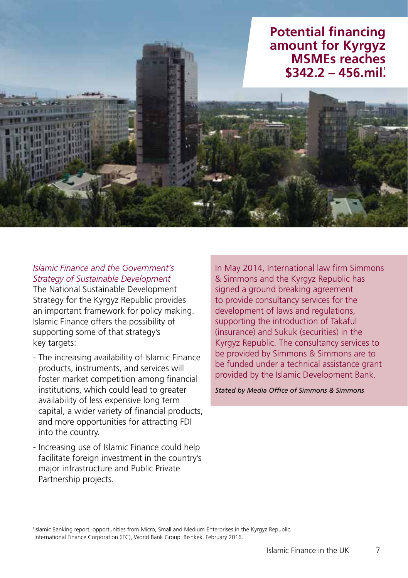

#### *Islamic Finance and the Government's Strategy of Sustainable Development*

The National Sustainable Development Strategy for the Kyrgyz Republic provides an important framework for policy making. Islamic Finance offers the possibility of supporting some of that strategy's key targets:

- The increasing availability of Islamic Finance products, instruments, and services will foster market competition among financial institutions, which could lead to greater availability of less expensive long term capital, a wider variety of financial products, and more opportunities for attracting FDI into the country.
- Increasing use of Islamic Finance could help facilitate foreign investment in the country's major infrastructure and Public Private Partnership projects.

In May 2014, International law firm Simmons & Simmons and the Kyrgyz Republic has signed a ground breaking agreement to provide consultancy services for the development of laws and regulations. supporting the introduction of Takaful (insurance) and Sukuk (securities) in the Kyrgyz Republic. The consultancy services to be provided by Simmons & Simmons are to be funded under a technical assistance grant provided by the Islamic Development Bank.

*Stated by Media Office of Simmons & Simmons*

1 Islamic Banking report, opportunities from Micro, Small and Medium Enterprises in the Kyrgyz Republic. International Finance Corporation (IFC), World Bank Group. Bishkek, February 2016.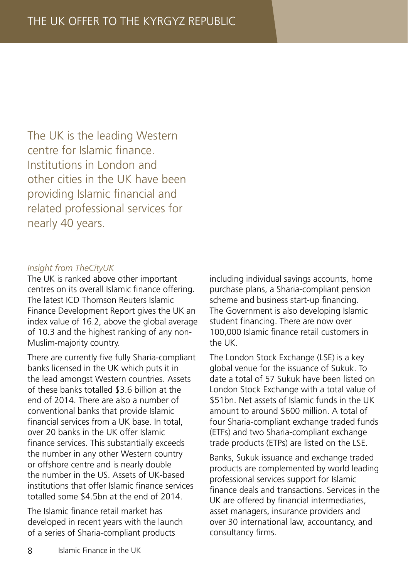The UK is the leading Western centre for Islamic finance. Institutions in London and other cities in the UK have been providing Islamic financial and related professional services for nearly 40 years.

#### *Insight from TheCityUK*

The UK is ranked above other important centres on its overall Islamic finance offering. The latest ICD Thomson Reuters Islamic Finance Development Report gives the UK an index value of 16.2, above the global average of 10.3 and the highest ranking of any non-Muslim-majority country.

There are currently five fully Sharia-compliant banks licensed in the UK which puts it in the lead amongst Western countries. Assets of these banks totalled \$3.6 billion at the end of 2014. There are also a number of conventional banks that provide Islamic financial services from a UK base. In total, over 20 banks in the UK offer Islamic finance services. This substantially exceeds the number in any other Western country or offshore centre and is nearly double the number in the US. Assets of UK-based institutions that offer Islamic finance services totalled some \$4.5bn at the end of 2014.

The Islamic finance retail market has developed in recent years with the launch of a series of Sharia-compliant products

including individual savings accounts, home purchase plans, a Sharia-compliant pension scheme and business start-up financing. The Government is also developing Islamic student financing. There are now over 100,000 Islamic finance retail customers in the UK.

The London Stock Exchange (LSE) is a key global venue for the issuance of Sukuk. To date a total of 57 Sukuk have been listed on London Stock Exchange with a total value of \$51bn. Net assets of Islamic funds in the UK amount to around \$600 million. A total of four Sharia-compliant exchange traded funds (ETFs) and two Sharia-compliant exchange trade products (ETPs) are listed on the LSE.

Banks, Sukuk issuance and exchange traded products are complemented by world leading professional services support for Islamic finance deals and transactions. Services in the UK are offered by financial intermediaries, asset managers, insurance providers and over 30 international law, accountancy, and consultancy firms.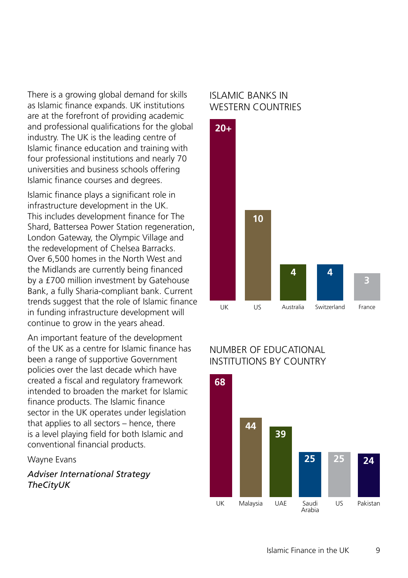There is a growing global demand for skills as Islamic finance expands. UK institutions are at the forefront of providing academic and professional qualifications for the global industry. The UK is the leading centre of Islamic finance education and training with four professional institutions and nearly 70 universities and business schools offering Islamic finance courses and degrees.

Islamic finance plays a significant role in infrastructure development in the UK. This includes development finance for The Shard, Battersea Power Station regeneration, London Gateway, the Olympic Village and the redevelopment of Chelsea Barracks. Over 6,500 homes in the North West and the Midlands are currently being financed by a £700 million investment by Gatehouse Bank, a fully Sharia-compliant bank. Current trends suggest that the role of Islamic finance in funding infrastructure development will continue to grow in the years ahead.

An important feature of the development of the UK as a centre for Islamic finance has been a range of supportive Government policies over the last decade which have created a fiscal and regulatory framework intended to broaden the market for Islamic finance products. The Islamic finance sector in the UK operates under legislation that applies to all sectors – hence, there is a level playing field for both Islamic and conventional financial products.

Wayne Evans

*Adviser International Strategy TheCityUK*

#### ISLAMIC BANKS IN WESTERN COUNTRIES



#### NUMBER OF EDUCATIONAL INSTITUTIONS BY COUNTRY

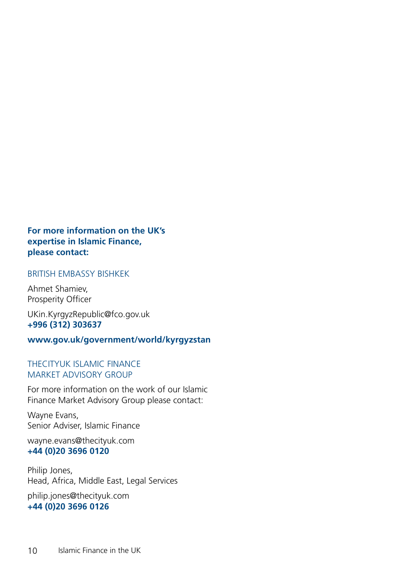#### **For more information on the UK's expertise in Islamic Finance, please contact:**

#### BRITISH EMBASSY BISHKEK

Ahmet Shamiev, Prosperity Officer

UKin.KyrgyzRepublic@fco.gov.uk **+996 (312) 303637**

#### **www.gov.uk/government/world/kyrgyzstan**

#### THECITYUK ISLAMIC FINANCE MARKET ADVISORY GROUP

For more information on the work of our Islamic Finance Market Advisory Group please contact:

Wayne Evans, Senior Adviser, Islamic Finance

wayne.evans@thecityuk.com **+44 (0)20 3696 0120**

Philip Jones, Head, Africa, Middle East, Legal Services

philip.jones@thecityuk.com **+44 (0)20 3696 0126**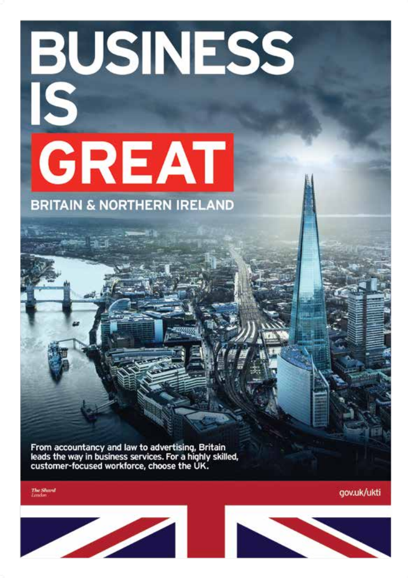# **BUSINESS**<br>IS<br>GREAT **BRITAIN & NORTHERN IRELAND**

From accountancy and law to advertising, Britain leads the way in business services. For a highly skilled, customer-focused workforce, choose the UK.

**The Shard**<br>Linder

gov.uk/ukti